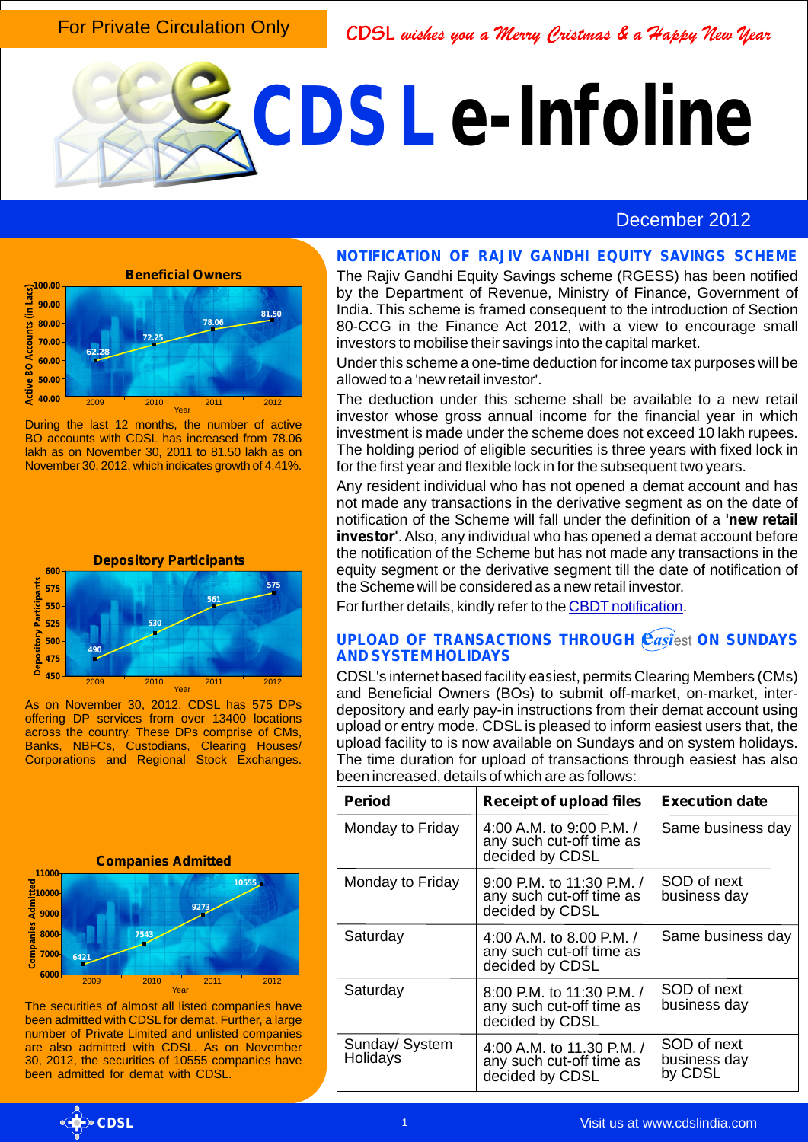For Private Circulation Only

CDSL wishes you a Merry Cristmas & a Happy New Year

# **CDSL e-Infoline**

## December 2012



During the last 12 months, the number of active BO accounts with CDSL has increased from 78.06 lakh as on November 30, 2011 to 81.50 lakh as on November 30, 2012, which indicates growth of 4.41%.



As on November 30, 2012, CDSL has 575 DPs offering DP services from over 13400 locations across the country. These DPs comprise of CMs, Banks, NBFCs, Custodians, Clearing Houses/ Corporations and Regional Stock Exchanges.

#### **Companies Admitted**



The securities of almost all listed companies have been admitted with CDSL for demat. Further, a large number of Private Limited and unlisted companies are also admitted with CDSL. As on November 30, 2012, the securities of 10555 companies have been admitted for demat with CDSL.

#### **NOTIFICATION OF RAJIV GANDHI EQUITY SAVINGS SCHEME**

The Rajiv Gandhi Equity Savings scheme (RGESS) has been notified by the Department of Revenue, Ministry of Finance, Government of India. This scheme is framed consequent to the introduction of Section 80-CCG in the Finance Act 2012, with a view to encourage small investors to mobilise their savings into the capital market.

Under this scheme a one-time deduction for income tax purposes will be allowed to a 'new retail investor'.

The deduction under this scheme shall be available to a new retail investor whose gross annual income for the financial year in which investment is made under the scheme does not exceed 10 lakh rupees. The holding period of eligible securities is three years with fixed lock in for the first year and flexible lock in for the subsequent two years.

Any resident individual who has not opened a demat account and has not made any transactions in the derivative segment as on the date of notification of the Scheme will fall under the definition of a **'new retail investor'**. Also, any individual who has opened a demat account before the notification of the Scheme but has not made any transactions in the equity segment or the derivative segment till the date of notification of the Scheme will be considered as a new retail investor.

Forfurther details, kindly refer to the **CBDT** notification.

#### **UPLOAD OF TRANSACTIONS THROUGH**  $\mathbf{\hat{e}}$ *asi***<sup>2</sup>est <b>ON SUNDAYS AND SYSTEM HOLIDAYS**

CDSL's internet based facility e*asi*est, permits Clearing Members (CMs) and Beneficial Owners (BOs) to submit off-market, on-market, interdepository and early pay-in instructions from their demat account using upload or entry mode. CDSL is pleased to inform easiest users that, the upload facility to is now available on Sundays and on system holidays. The time duration for upload of transactions through easiest has also been increased, details of which are as follows:

| <b>Period</b>              | <b>Receipt of upload files</b>                                           | <b>Execution date</b>                  |
|----------------------------|--------------------------------------------------------------------------|----------------------------------------|
| Monday to Friday           | 4:00 A.M. to 9:00 P.M. /<br>any such cut-off time as<br>decided by CDSL  | Same business day                      |
| Monday to Friday           | 9:00 P.M. to 11:30 P.M. /<br>any such cut-off time as<br>decided by CDSL | SOD of next<br>business day            |
| Saturday                   | 4:00 A.M. to 8.00 P.M. /<br>any such cut-off time as<br>decided by CDSL  | Same business day                      |
| Saturday                   | 8:00 P.M. to 11:30 P.M. /<br>any such cut-off time as<br>decided by CDSL | SOD of next<br>business day            |
| Sunday/ System<br>Holidays | 4:00 A.M. to 11.30 P.M. /<br>any such cut-off time as<br>decided by CDSL | SOD of next<br>business day<br>by CDSL |

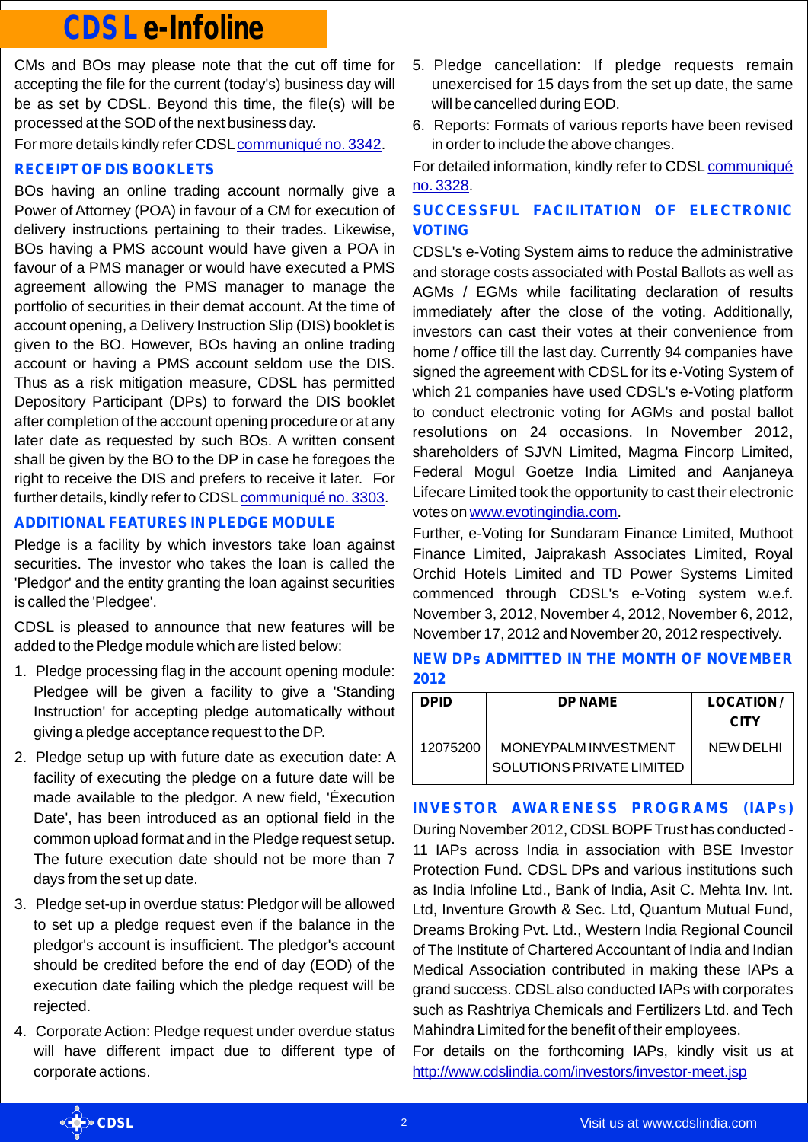# **CDSL e-Infoline**

CMs and BOs may please note that the cut off time for accepting the file for the current (today's) business day will be as set by CDSL. Beyond this time, the file(s) will be processed at the SOD of the next business day.

For more details kindly refer CDSL [communiqué no. 3342](http://www.cdslindia.com/communiques/dp/DP-3342-Upload-on-sundays-and-system-holidays-increase-in-time-for-uploads.pdf).

## **RECEIPT OF DIS BOOKLETS**

BOs having an online trading account normally give a Power of Attorney (POA) in favour of a CM for execution of delivery instructions pertaining to their trades. Likewise, BOs having a PMS account would have given a POA in favour of a PMS manager or would have executed a PMS agreement allowing the PMS manager to manage the portfolio of securities in their demat account. At the time of account opening, a Delivery Instruction Slip (DIS) booklet is given to the BO. However, BOs having an online trading account or having a PMS account seldom use the DIS. Thus as a risk mitigation measure, CDSL has permitted Depository Participant (DPs) to forward the DIS booklet after completion of the account opening procedure or at any later date as requested by such BOs. A written consent shall be given by the BO to the DP in case he foregoes the right to receive the DIS and prefers to receive it later. For further details, kindly refer to CDSL [communiqué no. 3303](http://www.cdslindia.com/communiques/dp/DP-3303-Amendments-CDSL-DP-Op-Inst-Chapter-2-2.4.21.pdf).

#### **ADDITIONALFEATURES IN PLEDGE MODULE**

Pledge is a facility by which investors take loan against securities. The investor who takes the loan is called the 'Pledgor' and the entity granting the loan against securities is called the 'Pledgee'.

CDSL is pleased to announce that new features will be added to the Pledge module which are listed below:

- 1. Pledge processing flag in the account opening module: Pledgee will be given a facility to give a 'Standing Instruction' for accepting pledge automatically without giving a pledge acceptance request to the DP.
- 2. Pledge setup up with future date as execution date: A facility of executing the pledge on a future date will be made available to the pledgor. A new field, 'Éxecution Date', has been introduced as an optional field in the common upload format and in the Pledge request setup. The future execution date should not be more than 7 days from the set up date.
- 3. Pledge set-up in overdue status: Pledgor will be allowed to set up a pledge request even if the balance in the pledgor's account is insufficient. The pledgor's account should be credited before the end of day (EOD) of the execution date failing which the pledge request will be rejected.
- 4. Corporate Action: Pledge request under overdue status will have different impact due to different type of corporate actions.
- 5. Pledge cancellation: If pledge requests remain unexercised for 15 days from the set up date, the same will be cancelled during EOD.
- 6. Reports: Formats of various reports have been revised in order to include the above changes.

[For detailed information, kindly refer to CDSL](http://www.cdslindia.com/communiques/dp/DP-3328-Additional-Features-in-Pledge-Module.pdf) communiqué . no. 3328

### **SUCCESSFUL FACILITATION OF ELECTRONIC VOTING**

CDSL's e-Voting System aims to reduce the administrative and storage costs associated with Postal Ballots as well as AGMs / EGMs while facilitating declaration of results immediately after the close of the voting. Additionally, investors can cast their votes at their convenience from home / office till the last day. Currently 94 companies have signed the agreement with CDSL for its e-Voting System of which 21 companies have used CDSL's e-Voting platform to conduct electronic voting for AGMs and postal ballot resolutions on 24 occasions. In November 2012, shareholders of SJVN Limited, Magma Fincorp Limited, Federal Mogul Goetze India Limited and Aanjaneya Lifecare Limited took the opportunity to cast their electronic voteson www.evotingindia.com.

Further, e-Voting for Sundaram Finance Limited, Muthoot Finance Limited, Jaiprakash Associates Limited, Royal Orchid Hotels Limited and TD Power Systems Limited commenced through CDSL's e-Voting system w.e.f. November 3, 2012, November 4, 2012, November 6, 2012, November 17, 2012 and November 20, 2012 respectively.

#### **NEW DPs ADMITTED IN THE MONTH OF NOVEMBER 2012**

| <b>DPID</b> | <b>DPNAME</b>                                     | <b>LOCATION/</b><br><b>CITY</b> |
|-------------|---------------------------------------------------|---------------------------------|
| 12075200    | MONEYPALM INVESTMENT<br>SOLUTIONS PRIVATE LIMITED | NEW DEL HI                      |

#### **INVESTOR AWARENESS PROGRAMS (IAPs)**

During November 2012, CDSLBOPF Trust has conducted - 11 IAPs across India in association with BSE Investor Protection Fund. CDSL DPs and various institutions such as India Infoline Ltd., Bank of India, Asit C. Mehta Inv. Int. Ltd, Inventure Growth & Sec. Ltd, Quantum Mutual Fund, Dreams Broking Pvt. Ltd., Western India Regional Council of The Institute of Chartered Accountant of India and Indian Medical Association contributed in making these IAPs a grand success. CDSL also conducted IAPs with corporates such as Rashtriya Chemicals and Fertilizers Ltd. and Tech Mahindra Limited for the benefit of their employees.

For details on the forthcoming IAPs, kindly visit us at <http://www.cdslindia.com/investors/investor-meet.jsp>